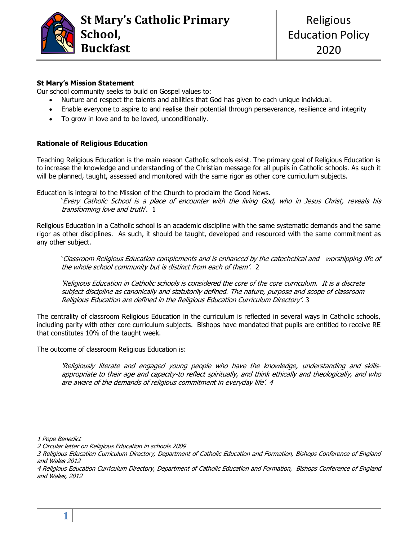

# **St Mary's Mission Statement**

Our school community seeks to build on Gospel values to:

- Nurture and respect the talents and abilities that God has given to each unique individual.
- Enable everyone to aspire to and realise their potential through perseverance, resilience and integrity
- To grow in love and to be loved, unconditionally.

### **Rationale of Religious Education**

Teaching Religious Education is the main reason Catholic schools exist. The primary goal of Religious Education is to increase the knowledge and understanding of the Christian message for all pupils in Catholic schools. As such it will be planned, taught, assessed and monitored with the same rigor as other core curriculum subjects.

Education is integral to the Mission of the Church to proclaim the Good News.

'Every Catholic School is a place of encounter with the living God, who in Jesus Christ, reveals his transforming love and truth'. 1

Religious Education in a Catholic school is an academic discipline with the same systematic demands and the same rigor as other disciplines. As such, it should be taught, developed and resourced with the same commitment as any other subject.

'Classroom Religious Education complements and is enhanced by the catechetical and worshipping life of the whole school community but is distinct from each of them'. 2

'Religious Education in Catholic schools is considered the core of the core curriculum. It is a discrete subject discipline as canonically and statutorily defined. The nature, purpose and scope of classroom Religious Education are defined in the Religious Education Curriculum Directory'. 3

The centrality of classroom Religious Education in the curriculum is reflected in several ways in Catholic schools, including parity with other core curriculum subjects. Bishops have mandated that pupils are entitled to receive RE that constitutes 10% of the taught week.

The outcome of classroom Religious Education is:

'Religiously literate and engaged young people who have the knowledge, understanding and skillsappropriate to their age and capacity-to reflect spiritually, and think ethically and theologically, and who are aware of the demands of religious commitment in everyday life'. 4

1 Pope Benedict

<sup>2</sup> Circular letter on Religious Education in schools 2009

<sup>3</sup> Religious Education Curriculum Directory, Department of Catholic Education and Formation, Bishops Conference of England and Wales 2012

<sup>4</sup> Religious Education Curriculum Directory, Department of Catholic Education and Formation, Bishops Conference of England and Wales, 2012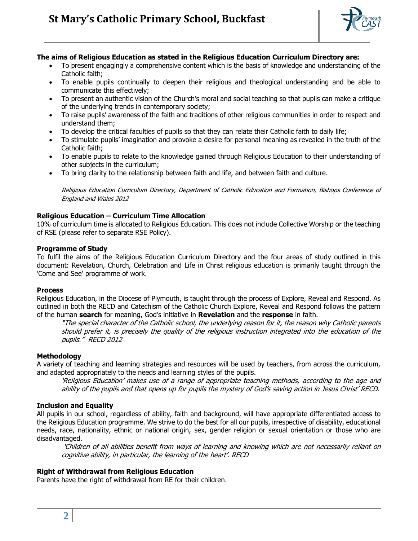

# **The aims of Religious Education as stated in the Religious Education Curriculum Directory are:**

- To present engagingly a comprehensive content which is the basis of knowledge and understanding of the Catholic faith;
- To enable pupils continually to deepen their religious and theological understanding and be able to communicate this effectively;
- To present an authentic vision of the Church's moral and social teaching so that pupils can make a critique of the underlying trends in contemporary society;
- To raise pupils' awareness of the faith and traditions of other religious communities in order to respect and understand them;
- To develop the critical faculties of pupils so that they can relate their Catholic faith to daily life;
- To stimulate pupils' imagination and provoke a desire for personal meaning as revealed in the truth of the Catholic faith;
- To enable pupils to relate to the knowledge gained through Religious Education to their understanding of other subjects in the curriculum;
- To bring clarity to the relationship between faith and life, and between faith and culture.

Religious Education Curriculum Directory, Department of Catholic Education and Formation, Bishops Conference of England and Wales 2012

# **Religious Education – Curriculum Time Allocation**

10% of curriculum time is allocated to Religious Education. This does not include Collective Worship or the teaching of RSE (please refer to separate RSE Policy).

#### **Programme of Study**

To fulfil the aims of the Religious Education Curriculum Directory and the four areas of study outlined in this document: Revelation, Church, Celebration and Life in Christ religious education is primarily taught through the 'Come and See' programme of work.

### **Process**

Religious Education, in the Diocese of Plymouth, is taught through the process of Explore, Reveal and Respond. As outlined in both the RECD and Catechism of the Catholic Church Explore, Reveal and Respond follows the pattern of the human **search** for meaning, God's initiative in **Revelation** and the **response** in faith.

"The special character of the Catholic school, the underlying reason for it, the reason why Catholic parents should prefer it, is precisely the quality of the religious instruction integrated into the education of the pupils." RECD 2012

### **Methodology**

A variety of teaching and learning strategies and resources will be used by teachers, from across the curriculum, and adapted appropriately to the needs and learning styles of the pupils.

'Religious Education' makes use of a range of appropriate teaching methods, according to the age and ability of the pupils and that opens up for pupils the mystery of God's saving action in Jesus Christ' RECD.

### **Inclusion and Equality**

All pupils in our school, regardless of ability, faith and background, will have appropriate differentiated access to the Religious Education programme. We strive to do the best for all our pupils, irrespective of disability, educational needs, race, nationality, ethnic or national origin, sex, gender religion or sexual orientation or those who are disadvantaged.

'Children of all abilities benefit from ways of learning and knowing which are not necessarily reliant on cognitive ability, in particular, the learning of the heart'. RECD

### **Right of Withdrawal from Religious Education**

Parents have the right of withdrawal from RE for their children.